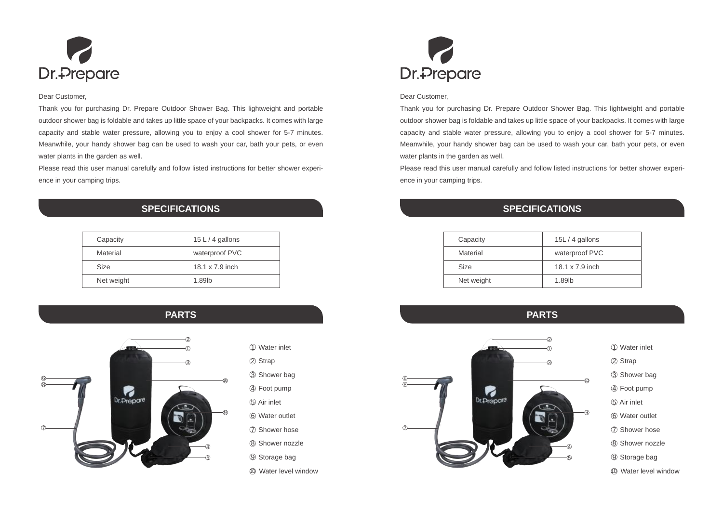

## Dear Customer,

Thank you for purchasing Dr. Prepare Outdoor Shower Bag. This lightweight and portable outdoor shower bag is foldable and takes up little space of your backpacks. It comes with large capacity and stable water pressure, allowing you to enjoy a cool shower for 5-7 minutes. Meanwhile, your handy shower bag can be used to wash your car, bath your pets, or even water plants in the garden as well.

Please read this user manual carefully and follow listed instructions for better shower experience in your camping trips.

## **SPECIFICATIONS**

|  | Capacity    | 15 L $/$ 4 gallons |
|--|-------------|--------------------|
|  | Material    | waterproof PVC     |
|  | <b>Size</b> | 18.1 x 7.9 inch    |
|  | Net weight  | 1.89lb             |
|  |             |                    |





- 1 Water inlet
- 2 Strap
- 3 Shower bag
- 4 Foot pump
- 5 Air inlet
- 6 Water outlet
- 7 Shower hose
- 8 Shower nozzle
- 9 Storage bag
- 10 Water level window